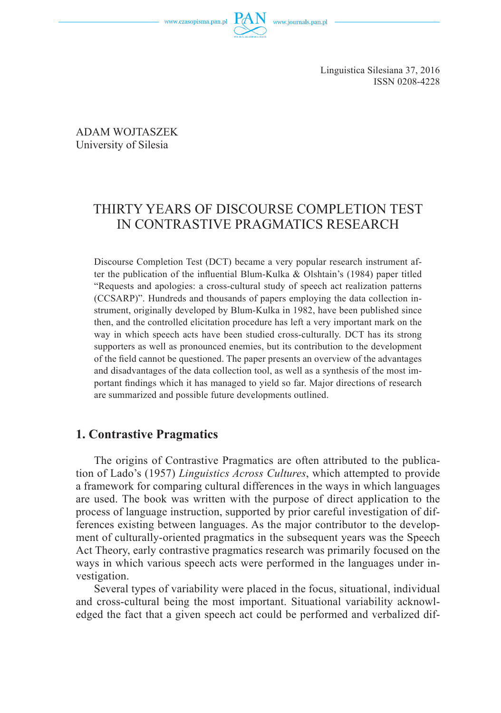www.czasopisma.pan.pl

Linguistica Silesiana 37, 2016 ISSN 0208-4228

ADAM WOJTASZEK University of Silesia

# THIRTY YEARS OF DISCOURSE COMPLETION TEST IN CONTRASTIVE PRAGMATICS RESEARCH

Discourse Completion Test (DCT) became a very popular research instrument after the publication of the influential Blum-Kulka & Olshtain's (1984) paper titled "Requests and apologies: a cross-cultural study of speech act realization patterns (CCSARP)". Hundreds and thousands of papers employing the data collection instrument, originally developed by Blum-Kulka in 1982, have been published since then, and the controlled elicitation procedure has left a very important mark on the way in which speech acts have been studied cross-culturally. DCT has its strong supporters as well as pronounced enemies, but its contribution to the development of the field cannot be questioned. The paper presents an overview of the advantages and disadvantages of the data collection tool, as well as a synthesis of the most important findings which it has managed to yield so far. Major directions of research are summarized and possible future developments outlined.

### **1. Contrastive Pragmatics**

The origins of Contrastive Pragmatics are often attributed to the publication of Lado's (1957) *Linguistics Across Cultures*, which attempted to provide a framework for comparing cultural differences in the ways in which languages are used. The book was written with the purpose of direct application to the process of language instruction, supported by prior careful investigation of differences existing between languages. As the major contributor to the development of culturally-oriented pragmatics in the subsequent years was the Speech Act Theory, early contrastive pragmatics research was primarily focused on the ways in which various speech acts were performed in the languages under investigation.

Several types of variability were placed in the focus, situational, individual and cross-cultural being the most important. Situational variability acknowledged the fact that a given speech act could be performed and verbalized dif-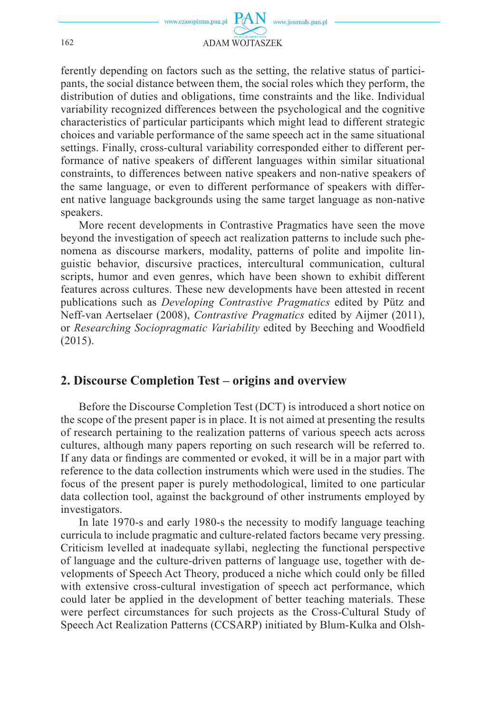

ferently depending on factors such as the setting, the relative status of participants, the social distance between them, the social roles which they perform, the distribution of duties and obligations, time constraints and the like. Individual variability recognized differences between the psychological and the cognitive characteristics of particular participants which might lead to different strategic choices and variable performance of the same speech act in the same situational settings. Finally, cross-cultural variability corresponded either to different performance of native speakers of different languages within similar situational constraints, to differences between native speakers and non-native speakers of the same language, or even to different performance of speakers with different native language backgrounds using the same target language as non-native speakers.

More recent developments in Contrastive Pragmatics have seen the move beyond the investigation of speech act realization patterns to include such phenomena as discourse markers, modality, patterns of polite and impolite linguistic behavior, discursive practices, intercultural communication, cultural scripts, humor and even genres, which have been shown to exhibit different features across cultures. These new developments have been attested in recent publications such as *Developing Contrastive Pragmatics* edited by Pütz and Neff-van Aertselaer (2008), *Contrastive Pragmatics* edited by Aijmer (2011), or *Researching Sociopragmatic Variability* edited by Beeching and Woodfield (2015).

### **2. Discourse Completion Test – origins and overview**

Before the Discourse Completion Test (DCT) is introduced a short notice on the scope of the present paper is in place. It is not aimed at presenting the results of research pertaining to the realization patterns of various speech acts across cultures, although many papers reporting on such research will be referred to. If any data or findings are commented or evoked, it will be in a major part with reference to the data collection instruments which were used in the studies. The focus of the present paper is purely methodological, limited to one particular data collection tool, against the background of other instruments employed by investigators.

In late 1970-s and early 1980-s the necessity to modify language teaching curricula to include pragmatic and culture-related factors became very pressing. Criticism levelled at inadequate syllabi, neglecting the functional perspective of language and the culture-driven patterns of language use, together with developments of Speech Act Theory, produced a niche which could only be filled with extensive cross-cultural investigation of speech act performance, which could later be applied in the development of better teaching materials. These were perfect circumstances for such projects as the Cross-Cultural Study of Speech Act Realization Patterns (CCSARP) initiated by Blum-Kulka and Olsh-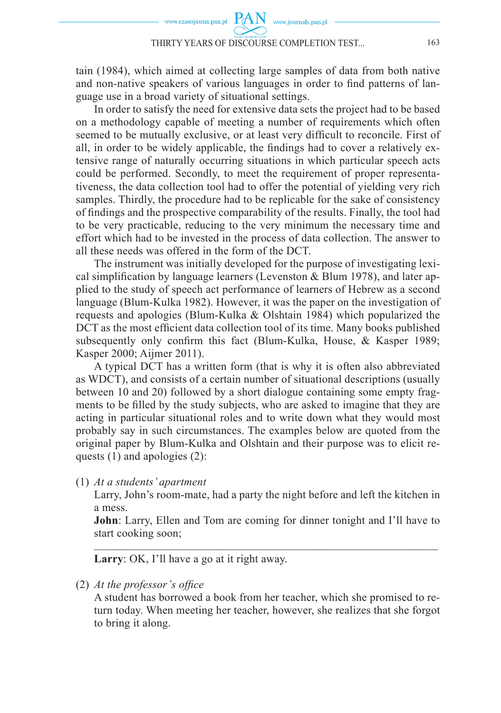tain (1984), which aimed at collecting large samples of data from both native and non-native speakers of various languages in order to find patterns of language use in a broad variety of situational settings.

In order to satisfy the need for extensive data sets the project had to be based on a methodology capable of meeting a number of requirements which often seemed to be mutually exclusive, or at least very difficult to reconcile. First of all, in order to be widely applicable, the findings had to cover a relatively extensive range of naturally occurring situations in which particular speech acts could be performed. Secondly, to meet the requirement of proper representativeness, the data collection tool had to offer the potential of yielding very rich samples. Thirdly, the procedure had to be replicable for the sake of consistency of findings and the prospective comparability of the results. Finally, the tool had to be very practicable, reducing to the very minimum the necessary time and effort which had to be invested in the process of data collection. The answer to all these needs was offered in the form of the DCT.

The instrument was initially developed for the purpose of investigating lexical simplification by language learners (Levenston  $\&$  Blum 1978), and later applied to the study of speech act performance of learners of Hebrew as a second language (Blum-Kulka 1982). However, it was the paper on the investigation of requests and apologies (Blum-Kulka & Olshtain 1984) which popularized the DCT as the most efficient data collection tool of its time. Many books published subsequently only confirm this fact (Blum-Kulka, House,  $\&$  Kasper 1989; Kasper 2000; Aijmer 2011).

A typical DCT has a written form (that is why it is often also abbreviated as WDCT), and consists of a certain number of situational descriptions (usually between 10 and 20) followed by a short dialogue containing some empty fragments to be filled by the study subjects, who are asked to imagine that they are acting in particular situational roles and to write down what they would most probably say in such circumstances. The examples below are quoted from the original paper by Blum-Kulka and Olshtain and their purpose was to elicit requests (1) and apologies (2):

(1) *At a students' apartment*

 Larry, John's room-mate, had a party the night before and left the kitchen in a mess.

 **John**: Larry, Ellen and Tom are coming for dinner tonight and I'll have to start cooking soon;  $\mathcal{L}_\text{max} = \mathcal{L}_\text{max} = \mathcal{L}_\text{max} = \mathcal{L}_\text{max} = \mathcal{L}_\text{max} = \mathcal{L}_\text{max} = \mathcal{L}_\text{max} = \mathcal{L}_\text{max} = \mathcal{L}_\text{max} = \mathcal{L}_\text{max} = \mathcal{L}_\text{max} = \mathcal{L}_\text{max} = \mathcal{L}_\text{max} = \mathcal{L}_\text{max} = \mathcal{L}_\text{max} = \mathcal{L}_\text{max} = \mathcal{L}_\text{max} = \mathcal{L}_\text{max} = \mathcal{$ 

**Larry**: OK, I'll have a go at it right away.

(2) *At the professor's office* 

 A student has borrowed a book from her teacher, which she promised to return today. When meeting her teacher, however, she realizes that she forgot to bring it along.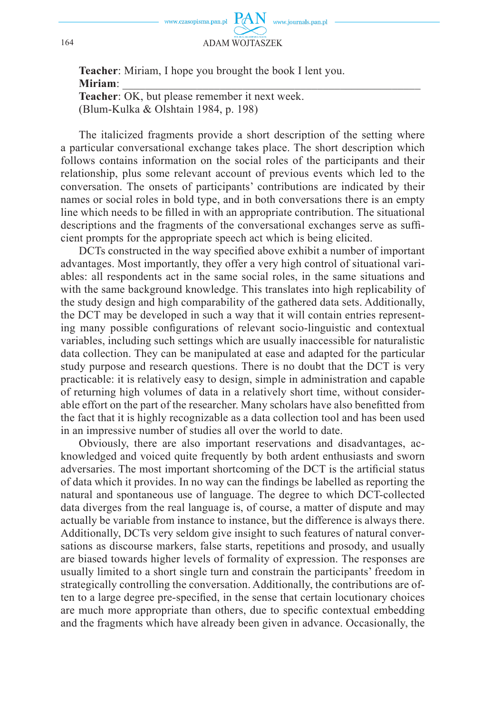

 **Teacher**: Miriam, I hope you brought the book I lent you.  **Miriam**: \_\_\_\_\_\_\_\_\_\_\_\_\_\_\_\_\_\_\_\_\_\_\_\_\_\_\_\_\_\_\_\_\_\_\_\_\_\_\_\_\_\_\_\_\_\_\_\_\_\_\_\_  **Teacher**: OK, but please remember it next week. (Blum-Kulka & Olshtain 1984, p. 198)

The italicized fragments provide a short description of the setting where a particular conversational exchange takes place. The short description which follows contains information on the social roles of the participants and their relationship, plus some relevant account of previous events which led to the conversation. The onsets of participants' contributions are indicated by their names or social roles in bold type, and in both conversations there is an empty line which needs to be filled in with an appropriate contribution. The situational descriptions and the fragments of the conversational exchanges serve as sufficient prompts for the appropriate speech act which is being elicited.

DCTs constructed in the way specified above exhibit a number of important advantages. Most importantly, they offer a very high control of situational variables: all respondents act in the same social roles, in the same situations and with the same background knowledge. This translates into high replicability of the study design and high comparability of the gathered data sets. Additionally, the DCT may be developed in such a way that it will contain entries representing many possible configurations of relevant socio-linguistic and contextual variables, including such settings which are usually inaccessible for naturalistic data collection. They can be manipulated at ease and adapted for the particular study purpose and research questions. There is no doubt that the DCT is very practicable: it is relatively easy to design, simple in administration and capable of returning high volumes of data in a relatively short time, without considerable effort on the part of the researcher. Many scholars have also benefitted from the fact that it is highly recognizable as a data collection tool and has been used in an impressive number of studies all over the world to date.

Obviously, there are also important reservations and disadvantages, acknowledged and voiced quite frequently by both ardent enthusiasts and sworn adversaries. The most important shortcoming of the DCT is the artificial status of data which it provides. In no way can the findings be labelled as reporting the natural and spontaneous use of language. The degree to which DCT-collected data diverges from the real language is, of course, a matter of dispute and may actually be variable from instance to instance, but the difference is always there. Additionally, DCTs very seldom give insight to such features of natural conversations as discourse markers, false starts, repetitions and prosody, and usually are biased towards higher levels of formality of expression. The responses are usually limited to a short single turn and constrain the participants' freedom in strategically controlling the conversation. Additionally, the contributions are often to a large degree pre-specified, in the sense that certain locutionary choices are much more appropriate than others, due to specific contextual embedding and the fragments which have already been given in advance. Occasionally, the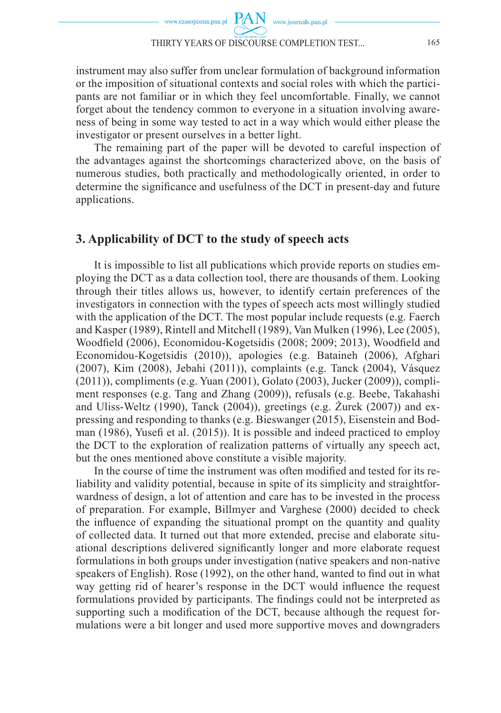instrument may also suffer from unclear formulation of background information or the imposition of situational contexts and social roles with which the participants are not familiar or in which they feel uncomfortable. Finally, we cannot forget about the tendency common to everyone in a situation involving awareness of being in some way tested to act in a way which would either please the investigator or present ourselves in a better light.

The remaining part of the paper will be devoted to careful inspection of the advantages against the shortcomings characterized above, on the basis of numerous studies, both practically and methodologically oriented, in order to determine the significance and usefulness of the DCT in present-day and future applications.

### **3. Applicability of DCT to the study of speech acts**

It is impossible to list all publications which provide reports on studies employing the DCT as a data collection tool, there are thousands of them. Looking through their titles allows us, however, to identify certain preferences of the investigators in connection with the types of speech acts most willingly studied with the application of the DCT. The most popular include requests (e.g. Faerch and Kasper (1989), Rintell and Mitchell (1989), Van Mulken (1996), Lee (2005), Woodfield (2006), Economidou-Kogetsidis (2008; 2009; 2013), Woodfield and Economidou-Kogetsidis (2010)), apologies (e.g. Bataineh (2006), Afghari (2007), Kim (2008), Jebahi (2011)), complaints (e.g. Tanck (2004), Vásquez (2011)), compliments (e.g. Yuan (2001), Golato (2003), Jucker (2009)), compliment responses (e.g. Tang and Zhang (2009)), refusals (e.g. Beebe, Takahashi and Uliss-Weltz (1990), Tanck (2004)), greetings (e.g. Żurek (2007)) and expressing and responding to thanks (e.g. Bieswanger (2015), Eisenstein and Bodman (1986), Yusefi et al. (2015)). It is possible and indeed practiced to employ the DCT to the exploration of realization patterns of virtually any speech act, but the ones mentioned above constitute a visible majority.

In the course of time the instrument was often modified and tested for its reliability and validity potential, because in spite of its simplicity and straightforwardness of design, a lot of attention and care has to be invested in the process of preparation. For example, Billmyer and Varghese (2000) decided to check the influence of expanding the situational prompt on the quantity and quality of collected data. It turned out that more extended, precise and elaborate situational descriptions delivered significantly longer and more elaborate request formulations in both groups under investigation (native speakers and non-native speakers of English). Rose (1992), on the other hand, wanted to find out in what way getting rid of hearer's response in the DCT would influence the request formulations provided by participants. The findings could not be interpreted as supporting such a modification of the DCT, because although the request formulations were a bit longer and used more supportive moves and downgraders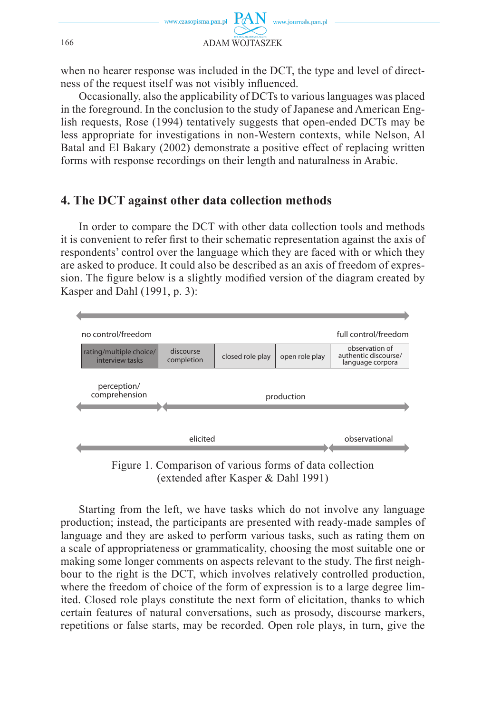

when no hearer response was included in the DCT, the type and level of directness of the request itself was not visibly influenced.

Occasionally, also the applicability of DCTs to various languages was placed in the foreground. In the conclusion to the study of Japanese and American English requests, Rose (1994) tentatively suggests that open-ended DCTs may be less appropriate for investigations in non-Western contexts, while Nelson, Al Batal and El Bakary (2002) demonstrate a positive effect of replacing written forms with response recordings on their length and naturalness in Arabic.

### **4. The DCT against other data collection methods**

In order to compare the DCT with other data collection tools and methods it is convenient to refer first to their schematic representation against the axis of respondents' control over the language which they are faced with or which they are asked to produce. It could also be described as an axis of freedom of expression. The figure below is a slightly modified version of the diagram created by Kasper and Dahl (1991, p. 3):



Figure 1. Comparison of various forms of data collection (extended after Kasper & Dahl 1991)

Starting from the left, we have tasks which do not involve any language production; instead, the participants are presented with ready-made samples of language and they are asked to perform various tasks, such as rating them on a scale of appropriateness or grammaticality, choosing the most suitable one or making some longer comments on aspects relevant to the study. The first neighbour to the right is the DCT, which involves relatively controlled production, where the freedom of choice of the form of expression is to a large degree limited. Closed role plays constitute the next form of elicitation, thanks to which certain features of natural conversations, such as prosody, discourse markers, repetitions or false starts, may be recorded. Open role plays, in turn, give the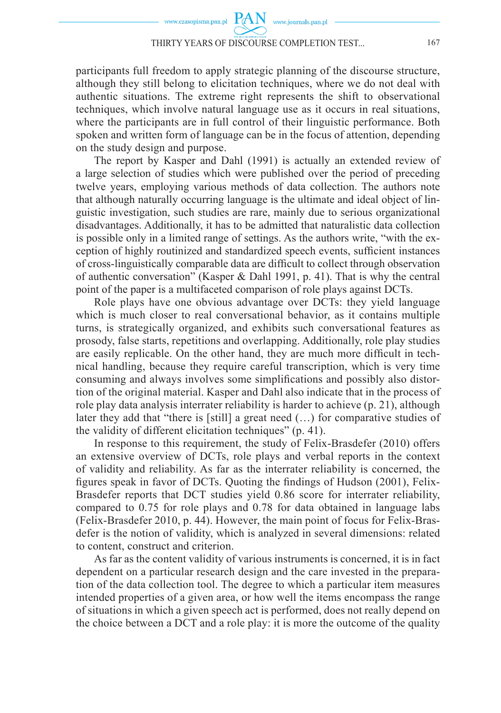participants full freedom to apply strategic planning of the discourse structure, although they still belong to elicitation techniques, where we do not deal with authentic situations. The extreme right represents the shift to observational techniques, which involve natural language use as it occurs in real situations, where the participants are in full control of their linguistic performance. Both spoken and written form of language can be in the focus of attention, depending on the study design and purpose.

The report by Kasper and Dahl (1991) is actually an extended review of a large selection of studies which were published over the period of preceding twelve years, employing various methods of data collection. The authors note that although naturally occurring language is the ultimate and ideal object of linguistic investigation, such studies are rare, mainly due to serious organizational disadvantages. Additionally, it has to be admitted that naturalistic data collection is possible only in a limited range of settings. As the authors write, "with the exception of highly routinized and standardized speech events, sufficient instances of cross-linguistically comparable data are difficult to collect through observation of authentic conversation" (Kasper & Dahl 1991, p. 41). That is why the central point of the paper is a multifaceted comparison of role plays against DCTs.

Role plays have one obvious advantage over DCTs: they yield language which is much closer to real conversational behavior, as it contains multiple turns, is strategically organized, and exhibits such conversational features as prosody, false starts, repetitions and overlapping. Additionally, role play studies are easily replicable. On the other hand, they are much more difficult in technical handling, because they require careful transcription, which is very time consuming and always involves some simplifications and possibly also distortion of the original material. Kasper and Dahl also indicate that in the process of role play data analysis interrater reliability is harder to achieve (p. 21), although later they add that "there is [still] a great need (…) for comparative studies of the validity of different elicitation techniques" (p. 41).

In response to this requirement, the study of Felix-Brasdefer (2010) offers an extensive overview of DCTs, role plays and verbal reports in the context of validity and reliability. As far as the interrater reliability is concerned, the figures speak in favor of DCTs. Quoting the findings of Hudson (2001), Felix-Brasdefer reports that DCT studies yield 0.86 score for interrater reliability, compared to 0.75 for role plays and 0.78 for data obtained in language labs (Felix-Brasdefer 2010, p. 44). However, the main point of focus for Felix-Brasdefer is the notion of validity, which is analyzed in several dimensions: related to content, construct and criterion.

As far as the content validity of various instruments is concerned, it is in fact dependent on a particular research design and the care invested in the preparation of the data collection tool. The degree to which a particular item measures intended properties of a given area, or how well the items encompass the range of situations in which a given speech act is performed, does not really depend on the choice between a DCT and a role play: it is more the outcome of the quality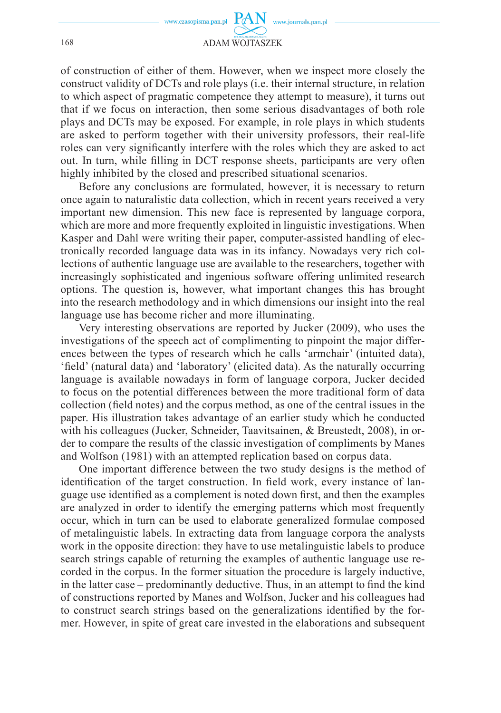

of construction of either of them. However, when we inspect more closely the construct validity of DCTs and role plays (i.e. their internal structure, in relation to which aspect of pragmatic competence they attempt to measure), it turns out that if we focus on interaction, then some serious disadvantages of both role plays and DCTs may be exposed. For example, in role plays in which students are asked to perform together with their university professors, their real-life roles can very significantly interfere with the roles which they are asked to act out. In turn, while filling in DCT response sheets, participants are very often highly inhibited by the closed and prescribed situational scenarios.

Before any conclusions are formulated, however, it is necessary to return once again to naturalistic data collection, which in recent years received a very important new dimension. This new face is represented by language corpora, which are more and more frequently exploited in linguistic investigations. When Kasper and Dahl were writing their paper, computer-assisted handling of electronically recorded language data was in its infancy. Nowadays very rich collections of authentic language use are available to the researchers, together with increasingly sophisticated and ingenious software offering unlimited research options. The question is, however, what important changes this has brought into the research methodology and in which dimensions our insight into the real language use has become richer and more illuminating.

Very interesting observations are reported by Jucker (2009), who uses the investigations of the speech act of complimenting to pinpoint the major differences between the types of research which he calls 'armchair' (intuited data), 'field' (natural data) and 'laboratory' (elicited data). As the naturally occurring language is available nowadays in form of language corpora, Jucker decided to focus on the potential differences between the more traditional form of data collection (field notes) and the corpus method, as one of the central issues in the paper. His illustration takes advantage of an earlier study which he conducted with his colleagues (Jucker, Schneider, Taavitsainen, & Breustedt, 2008), in order to compare the results of the classic investigation of compliments by Manes and Wolfson (1981) with an attempted replication based on corpus data.

One important difference between the two study designs is the method of identification of the target construction. In field work, every instance of language use identified as a complement is noted down first, and then the examples are analyzed in order to identify the emerging patterns which most frequently occur, which in turn can be used to elaborate generalized formulae composed of metalinguistic labels. In extracting data from language corpora the analysts work in the opposite direction: they have to use metalinguistic labels to produce search strings capable of returning the examples of authentic language use recorded in the corpus. In the former situation the procedure is largely inductive, in the latter case – predominantly deductive. Thus, in an attempt to find the kind of constructions reported by Manes and Wolfson, Jucker and his colleagues had to construct search strings based on the generalizations identified by the former. However, in spite of great care invested in the elaborations and subsequent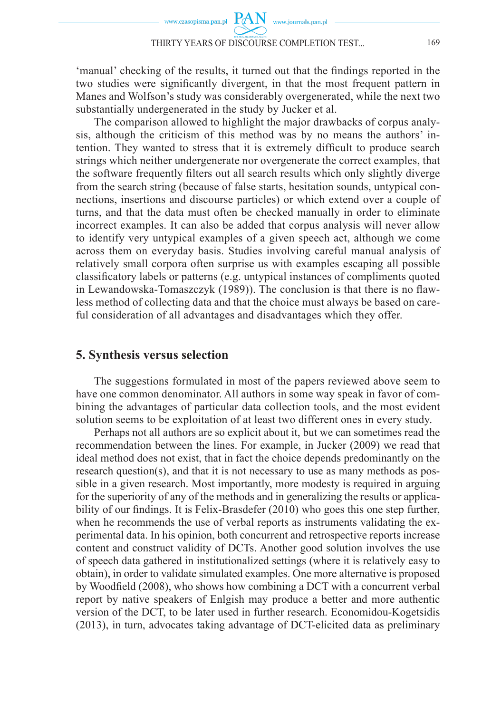'manual' checking of the results, it turned out that the findings reported in the two studies were significantly divergent, in that the most frequent pattern in Manes and Wolfson's study was considerably overgenerated, while the next two substantially undergenerated in the study by Jucker et al.

The comparison allowed to highlight the major drawbacks of corpus analysis, although the criticism of this method was by no means the authors' intention. They wanted to stress that it is extremely difficult to produce search strings which neither undergenerate nor overgenerate the correct examples, that the software frequently filters out all search results which only slightly diverge from the search string (because of false starts, hesitation sounds, untypical connections, insertions and discourse particles) or which extend over a couple of turns, and that the data must often be checked manually in order to eliminate incorrect examples. It can also be added that corpus analysis will never allow to identify very untypical examples of a given speech act, although we come across them on everyday basis. Studies involving careful manual analysis of relatively small corpora often surprise us with examples escaping all possible classifi catory labels or patterns (e.g. untypical instances of compliments quoted in Lewandowska-Tomaszczyk (1989)). The conclusion is that there is no flawless method of collecting data and that the choice must always be based on careful consideration of all advantages and disadvantages which they offer.

#### **5. Synthesis versus selection**

The suggestions formulated in most of the papers reviewed above seem to have one common denominator. All authors in some way speak in favor of combining the advantages of particular data collection tools, and the most evident solution seems to be exploitation of at least two different ones in every study.

Perhaps not all authors are so explicit about it, but we can sometimes read the recommendation between the lines. For example, in Jucker (2009) we read that ideal method does not exist, that in fact the choice depends predominantly on the research question(s), and that it is not necessary to use as many methods as possible in a given research. Most importantly, more modesty is required in arguing for the superiority of any of the methods and in generalizing the results or applicability of our findings. It is Felix-Brasdefer  $(2010)$  who goes this one step further, when he recommends the use of verbal reports as instruments validating the experimental data. In his opinion, both concurrent and retrospective reports increase content and construct validity of DCTs. Another good solution involves the use of speech data gathered in institutionalized settings (where it is relatively easy to obtain), in order to validate simulated examples. One more alternative is proposed by Woodfield (2008), who shows how combining a DCT with a concurrent verbal report by native speakers of Enlgish may produce a better and more authentic version of the DCT, to be later used in further research. Economidou-Kogetsidis (2013), in turn, advocates taking advantage of DCT-elicited data as preliminary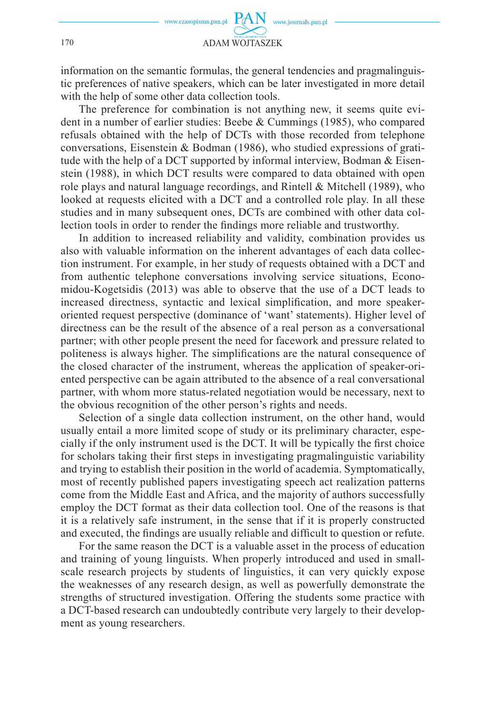information on the semantic formulas, the general tendencies and pragmalinguistic preferences of native speakers, which can be later investigated in more detail with the help of some other data collection tools.

The preference for combination is not anything new, it seems quite evident in a number of earlier studies: Beebe & Cummings (1985), who compared refusals obtained with the help of DCTs with those recorded from telephone conversations, Eisenstein & Bodman (1986), who studied expressions of gratitude with the help of a DCT supported by informal interview, Bodman & Eisenstein (1988), in which DCT results were compared to data obtained with open role plays and natural language recordings, and Rintell & Mitchell (1989), who looked at requests elicited with a DCT and a controlled role play. In all these studies and in many subsequent ones, DCTs are combined with other data collection tools in order to render the findings more reliable and trustworthy.

In addition to increased reliability and validity, combination provides us also with valuable information on the inherent advantages of each data collection instrument. For example, in her study of requests obtained with a DCT and from authentic telephone conversations involving service situations, Economidou-Kogetsidis (2013) was able to observe that the use of a DCT leads to increased directness, syntactic and lexical simplification, and more speakeroriented request perspective (dominance of 'want' statements). Higher level of directness can be the result of the absence of a real person as a conversational partner; with other people present the need for facework and pressure related to politeness is always higher. The simplifications are the natural consequence of the closed character of the instrument, whereas the application of speaker-oriented perspective can be again attributed to the absence of a real conversational partner, with whom more status-related negotiation would be necessary, next to the obvious recognition of the other person's rights and needs.

Selection of a single data collection instrument, on the other hand, would usually entail a more limited scope of study or its preliminary character, especially if the only instrument used is the DCT. It will be typically the first choice for scholars taking their first steps in investigating pragmalinguistic variability and trying to establish their position in the world of academia. Symptomatically, most of recently published papers investigating speech act realization patterns come from the Middle East and Africa, and the majority of authors successfully employ the DCT format as their data collection tool. One of the reasons is that it is a relatively safe instrument, in the sense that if it is properly constructed and executed, the findings are usually reliable and difficult to question or refute.

For the same reason the DCT is a valuable asset in the process of education and training of young linguists. When properly introduced and used in smallscale research projects by students of linguistics, it can very quickly expose the weaknesses of any research design, as well as powerfully demonstrate the strengths of structured investigation. Offering the students some practice with a DCT-based research can undoubtedly contribute very largely to their development as young researchers.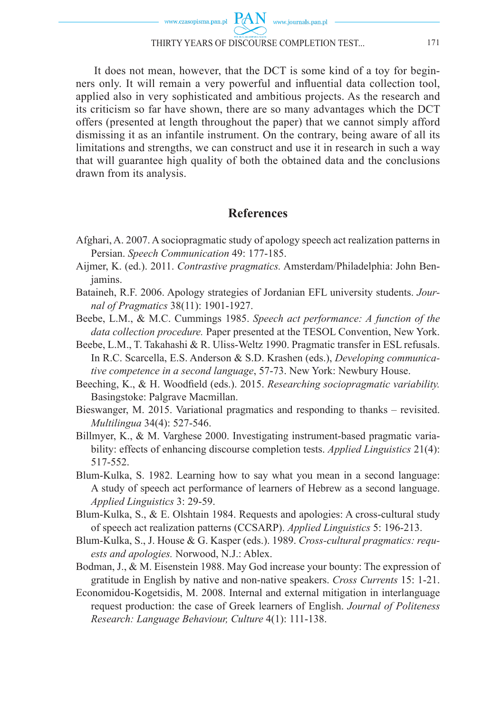It does not mean, however, that the DCT is some kind of a toy for beginners only. It will remain a very powerful and influential data collection tool, applied also in very sophisticated and ambitious projects. As the research and its criticism so far have shown, there are so many advantages which the DCT offers (presented at length throughout the paper) that we cannot simply afford dismissing it as an infantile instrument. On the contrary, being aware of all its limitations and strengths, we can construct and use it in research in such a way that will guarantee high quality of both the obtained data and the conclusions drawn from its analysis.

## **References**

- Afghari, A. 2007. A sociopragmatic study of apology speech act realization patterns in Persian. *Speech Communication* 49: 177-185.
- Aijmer, K. (ed.). 2011. *Contrastive pragmatics.* Amsterdam/Philadelphia: John Benjamins.
- Bataineh, R.F. 2006. Apology strategies of Jordanian EFL university students. *Journal of Pragmatics* 38(11): 1901-1927.
- Beebe, L.M., & M.C. Cummings 1985. *Speech act performance: A function of the data collection procedure.* Paper presented at the TESOL Convention, New York.
- Beebe, L.M., T. Takahashi & R. Uliss-Weltz 1990. Pragmatic transfer in ESL refusals. In R.C. Scarcella, E.S. Anderson & S.D. Krashen (eds.), *Developing communicative competence in a second language*, 57-73. New York: Newbury House.
- Beeching, K., & H. Woodfield (eds.). 2015. *Researching sociopragmatic variability*. Basingstoke: Palgrave Macmillan.
- Bieswanger, M. 2015. Variational pragmatics and responding to thanks revisited. *Multilingua* 34(4): 527-546.
- Billmyer, K., & M. Varghese 2000. Investigating instrument-based pragmatic variability: effects of enhancing discourse completion tests. *Applied Linguistics* 21(4): 517-552.
- Blum-Kulka, S. 1982. Learning how to say what you mean in a second language: A study of speech act performance of learners of Hebrew as a second language. *Applied Linguistics* 3: 29-59.
- Blum-Kulka, S., & E. Olshtain 1984. Requests and apologies: A cross-cultural study of speech act realization patterns (CCSARP). *Applied Linguistics* 5: 196-213.
- Blum-Kulka, S., J. House & G. Kasper (eds.). 1989. *Cross-cultural pragmatics: requests and apologies.* Norwood, N.J.: Ablex.
- Bodman, J., & M. Eisenstein 1988. May God increase your bounty: The expression of gratitude in English by native and non-native speakers. *Cross Currents* 15: 1-21.
- Economidou-Kogetsidis, M. 2008. Internal and external mitigation in interlanguage request production: the case of Greek learners of English. *Journal of Politeness Research: Language Behaviour, Culture* 4(1): 111-138.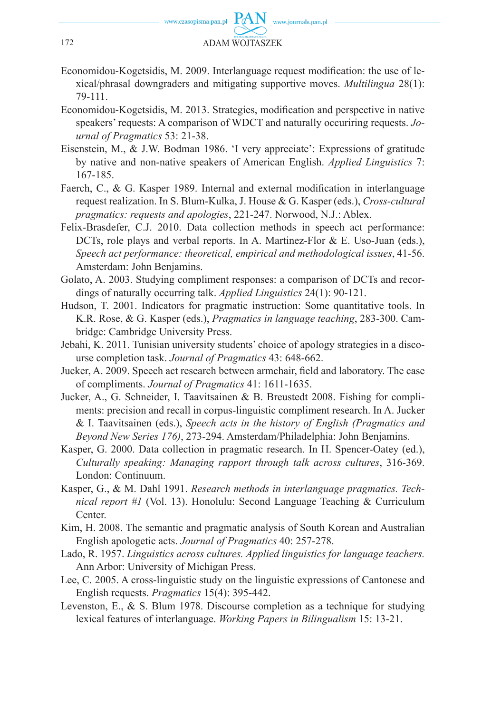

- Economidou-Kogetsidis, M. 2009. Interlanguage request modification: the use of lexical/phrasal downgraders and mitigating supportive moves. *Multilingua* 28(1): 79-111.
- Economidou-Kogetsidis, M. 2013. Strategies, modification and perspective in native speakers' requests: A comparison of WDCT and naturally occuriring requests. *Journal of Pragmatics* 53: 21-38.
- Eisenstein, M., & J.W. Bodman 1986. 'I very appreciate': Expressions of gratitude by native and non-native speakers of American English. *Applied Linguistics* 7: 167-185.
- Faerch, C., & G. Kasper 1989. Internal and external modification in interlanguage request realization. In S. Blum-Kulka, J. House & G. Kasper (eds.), *Cross-cultural pragmatics: requests and apologies*, 221-247. Norwood, N.J.: Ablex.
- Felix-Brasdefer, C.J. 2010. Data collection methods in speech act performance: DCTs, role plays and verbal reports. In A. Martinez-Flor & E. Uso-Juan (eds.), *Speech act performance: theoretical, empirical and methodological issues*, 41-56. Amsterdam: John Benjamins.
- Golato, A. 2003. Studying compliment responses: a comparison of DCTs and recordings of naturally occurring talk. *Applied Linguistics* 24(1): 90-121.
- Hudson, T. 2001. Indicators for pragmatic instruction: Some quantitative tools. In K.R. Rose, & G. Kasper (eds.), *Pragmatics in language teaching*, 283-300. Cambridge: Cambridge University Press.
- Jebahi, K. 2011. Tunisian university students' choice of apology strategies in a discourse completion task. *Journal of Pragmatics* 43: 648-662.
- Jucker, A. 2009. Speech act research between armchair, field and laboratory. The case of compliments. *Journal of Pragmatics* 41: 1611-1635.
- Jucker, A., G. Schneider, I. Taavitsainen & B. Breustedt 2008. Fishing for compliments: precision and recall in corpus-linguistic compliment research. In A. Jucker & I. Taavitsainen (eds.), *Speech acts in the history of English (Pragmatics and Beyond New Series 176)*, 273-294. Amsterdam/Philadelphia: John Benjamins.
- Kasper, G. 2000. Data collection in pragmatic research. In H. Spencer-Oatey (ed.), *Culturally speaking: Managing rapport through talk across cultures*, 316-369. London: Continuum.
- Kasper, G., & M. Dahl 1991. *Research methods in interlanguage pragmatics. Technical report #1* (Vol. 13). Honolulu: Second Language Teaching & Curriculum Center.
- Kim, H. 2008. The semantic and pragmatic analysis of South Korean and Australian English apologetic acts. *Journal of Pragmatics* 40: 257-278.
- Lado, R. 1957. *Linguistics across cultures. Applied linguistics for language teachers.* Ann Arbor: University of Michigan Press.
- Lee, C. 2005. A cross-linguistic study on the linguistic expressions of Cantonese and English requests. *Pragmatics* 15(4): 395-442.
- Levenston, E., & S. Blum 1978. Discourse completion as a technique for studying lexical features of interlanguage. *Working Papers in Bilingualism* 15: 13-21.